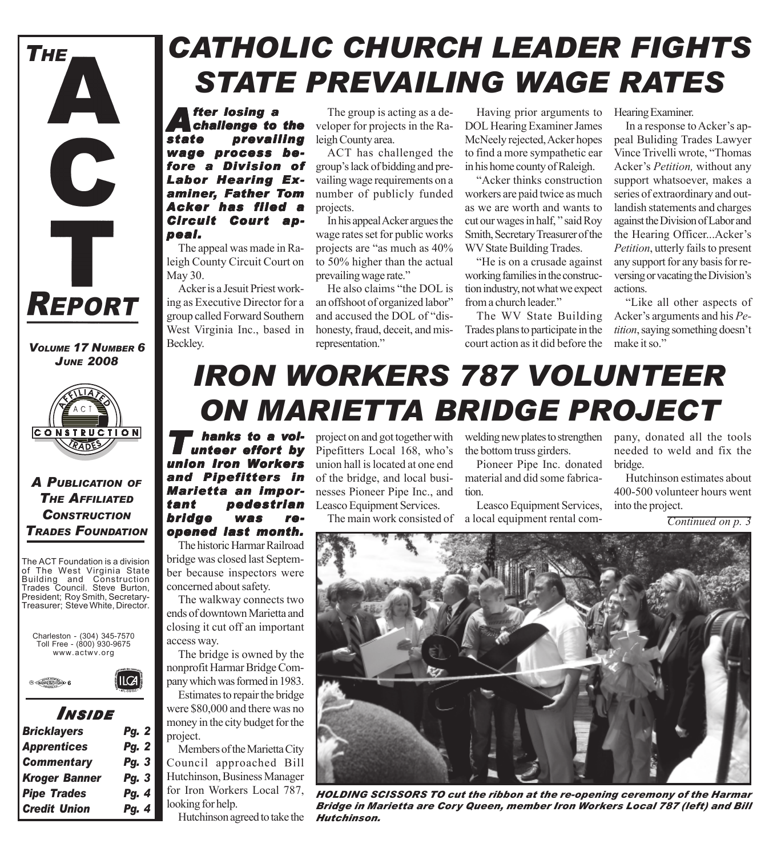

#### *VOLUME 17 NUMBER 6 JUNE 2008*



### *A PUBLICATION OF THE AFFILIATED CONSTRUCTION TRADES FOUNDATION*

The ACT Foundation is a division of The West Virginia State Building and Construction Trades Council. Steve Burton, President; Roy Smith, Secretary-Treasurer; Steve White, Director.





## *I NSIDE*

ILCA

| <b>Bricklayers</b>   | <b>Pg. 2</b> |
|----------------------|--------------|
| <b>Apprentices</b>   | <b>Pg. 2</b> |
| <b>Commentary</b>    | Pg. 3        |
| <b>Kroger Banner</b> | Pg. 3        |
| <b>Pipe Trades</b>   | Pg. 4        |
| <b>Credit Union</b>  | Pg. 4        |

# *CATHOLIC CHURCH LEADER FIGHTS STATE PREVAILING WAGE RATES*

*After losing a challenge to the state prevailing wage process be- wage process be* **a Division of** *Labor Hearing Ex- Labor Examiner, Father Tom Acker has filed a* **Circuit Court ap***peal.*

The appeal was made in Raleigh County Circuit Court on May 30.

Acker is a Jesuit Priest working as Executive Director for a group called Forward Southern West Virginia Inc., based in Beckley.

The group is acting as a developer for projects in the Raleigh County area.

ACT has challenged the group's lack of bidding and prevailing wage requirements on a number of publicly funded projects.

In his appeal Acker argues the wage rates set for public works projects are "as much as 40% to 50% higher than the actual prevailing wage rate."

He also claims "the DOL is an offshoot of organized labor" and accused the DOL of "dishonesty, fraud, deceit, and misrepresentation."

Having prior arguments to DOL Hearing Examiner James McNeely rejected, Acker hopes to find a more sympathetic ear in his home county of Raleigh.

"Acker thinks construction workers are paid twice as much as we are worth and wants to cut our wages in half, " said Roy Smith, Secretary Treasurer of the WV State Building Trades.

"He is on a crusade against working families in the construction industry, not what we expect from a church leader."

The WV State Building Trades plans to participate in the court action as it did before the Hearing Examiner.

In a response to Acker's appeal Buliding Trades Lawyer Vince Trivelli wrote, "Thomas Acker's *Petition,* without any support whatsoever, makes a series of extraordinary and outlandish statements and charges against the Division of Labor and the Hearing Officer...Acker's *Petition*, utterly fails to present any support for any basis for reversing or vacating the Division's actions.

"Like all other aspects of Acker's arguments and his *Petition*, saying something doesn't make it so."

# *IRON WORKERS 787 VOLUNTEER ON MARIETTA BRIDGE PROJECT*

*T hanks to a vol-unteer ef effort by union Iron Workers and Pipefitters in Marietta an impor- Marietta important pedestrian bridge was re- bridge was reopened last month. opened last month.*

The historic Harmar Railroad bridge was closed last September because inspectors were concerned about safety.

The walkway connects two ends of downtown Marietta and closing it cut off an important access way.

The bridge is owned by the nonprofit Harmar Bridge Company which was formed in 1983.

Estimates to repair the bridge were \$80,000 and there was no money in the city budget for the project.

Members of the Marietta City Council approached Bill Hutchinson, Business Manager for Iron Workers Local 787, looking for help.

Hutchinson agreed to take the

project on and got together with Pipefitters Local 168, who's union hall is located at one end of the bridge, and local businesses Pioneer Pipe Inc., and Leasco Equipment Services.

The main work consisted of a local equipment rental com-

welding new plates to strengthen the bottom truss girders.

Pioneer Pipe Inc. donated material and did some fabrication.

Leasco Equipment Services,

pany, donated all the tools needed to weld and fix the bridge.

Hutchinson estimates about 400-500 volunteer hours went into the project.

*Continued on p. 3*



*HOLDING SCISSORS TO cut the ribbon at the re-opening ceremony of the Harmar Bridge in Marietta are Cory Queen, member Iron Workers Local 787 (left) and Bill Hutchinson.*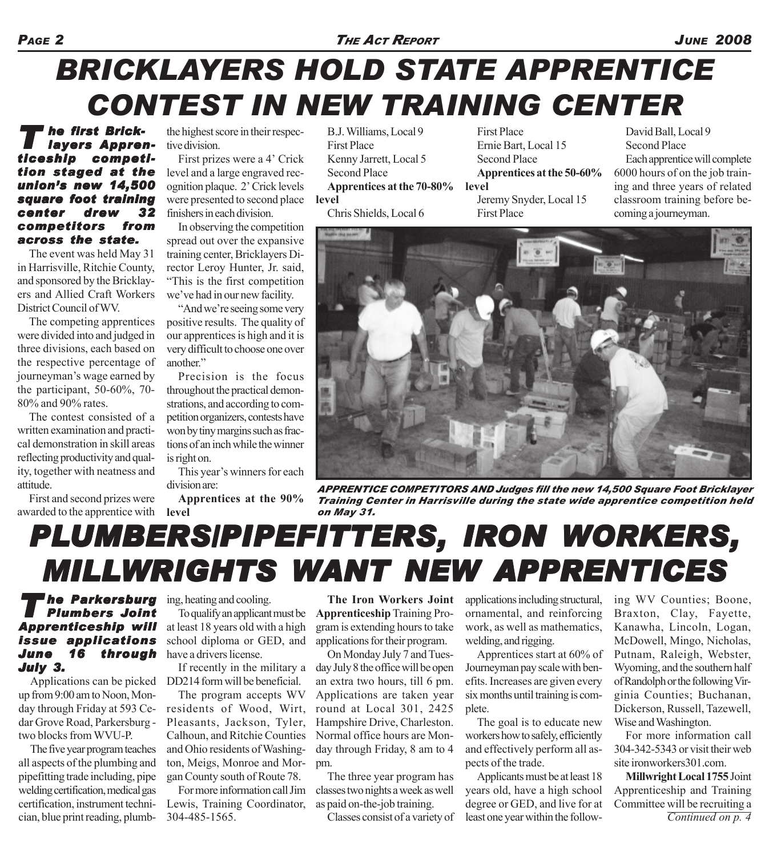### *PAGE 2 THE ACT REPORT JUNE 2008*

# *BRICKLAYERS HOLD STATE APPRENTICE CONTEST IN NEW TRAINING CENTER*

### *T he first Brick- he Brick-layers Appren- layers Apprenticeship competi- competition staged at the union's new 14,500 square foot training center drew 32 competitors from across the state. across the*

The event was held May 31 in Harrisville, Ritchie County, and sponsored by the Bricklayers and Allied Craft Workers District Council of WV.

The competing apprentices were divided into and judged in three divisions, each based on the respective percentage of journeyman's wage earned by the participant, 50-60%, 70- 80% and 90% rates.

The contest consisted of a written examination and practical demonstration in skill areas reflecting productivity and quality, together with neatness and attitude.

First and second prizes were awarded to the apprentice with

the highest score in their respective division.

First prizes were a 4' Crick level and a large engraved recognition plaque. 2' Crick levels were presented to second place finishers in each division.

In observing the competition spread out over the expansive training center, Bricklayers Director Leroy Hunter, Jr. said, "This is the first competition we've had in our new facility.

"And we're seeing some very positive results. The quality of our apprentices is high and it is very difficult to choose one over another"

Precision is the focus throughout the practical demonstrations, and according to competition organizers, contests have won by tiny margins such as fractions of an inch while the winner is right on.

This year's winners for each division are:

**Apprentices at the 90% level**

B.J. Williams, Local 9 First Place Kenny Jarrett, Local 5 Second Place **Apprentices at the 70-80% level** Chris Shields, Local 6

First Place Ernie Bart, Local 15 Second Place **Apprentices at the 50-60% level** Jeremy Snyder, Local 15 First Place

David Ball, Local 9 Second Place Each apprentice will complete 6000 hours of on the job training and three years of related classroom training before becoming a journeyman.



*APPRENTICE COMPETITORS AND Judges fill the new 14,500 Square Foot Bricklayer Training Center in Harrisville during the state wide apprentice competition held on May 31.*

# *PLUMBERS/PIPEFITTERS UMBERS/PIPEFITTERS, IRON WORKERS WORKERS,* **MILLWRIGHTS WANT NEW APPRENTICES**

#### *T he Parkersburg Plumbers Joint Apprenticeship will Apprenticeship will issue applications June 16 through July 3.*

Applications can be picked up from 9:00 am to Noon, Monday through Friday at 593 Cedar Grove Road, Parkersburg two blocks from WVU-P.

The five year program teaches all aspects of the plumbing and pipefitting trade including, pipe welding certification, medical gas certification, instrument technician, blue print reading, plumb-

ing, heating and cooling.

To qualify an applicant must be at least 18 years old with a high school diploma or GED, and have a drivers license.

If recently in the military a DD214 form will be beneficial.

The program accepts WV residents of Wood, Wirt, Pleasants, Jackson, Tyler, Calhoun, and Ritchie Counties and Ohio residents of Washington, Meigs, Monroe and Morgan County south of Route 78.

For more information call Jim Lewis, Training Coordinator, 304-485-1565.

**The Iron Workers Joint Apprenticeship** Training Program is extending hours to take applications for their program.

On Monday July 7 and Tuesday July 8 the office will be open an extra two hours, till 6 pm. Applications are taken year round at Local 301, 2425 Hampshire Drive, Charleston. Normal office hours are Monday through Friday, 8 am to 4 pm.

The three year program has classes two nights a week as well as paid on-the-job training.

Classes consist of a variety of

applications including structural, ornamental, and reinforcing work, as well as mathematics, welding, and rigging.

Apprentices start at 60% of Journeyman pay scale with benefits. Increases are given every six months until training is complete.

The goal is to educate new workers how to safely, efficiently and effectively perform all aspects of the trade.

Applicants must be at least 18 years old, have a high school degree or GED, and live for at least one year within the following WV Counties; Boone, Braxton, Clay, Fayette, Kanawha, Lincoln, Logan, McDowell, Mingo, Nicholas, Putnam, Raleigh, Webster, Wyoming, and the southern half of Randolph or the following Virginia Counties; Buchanan, Dickerson, Russell, Tazewell, Wise and Washington.

For more information call 304-342-5343 or visit their web site ironworkers301.com.

**Millwright Local 1755** Joint Apprenticeship and Training Committee will be recruiting a *Continued on p. 4*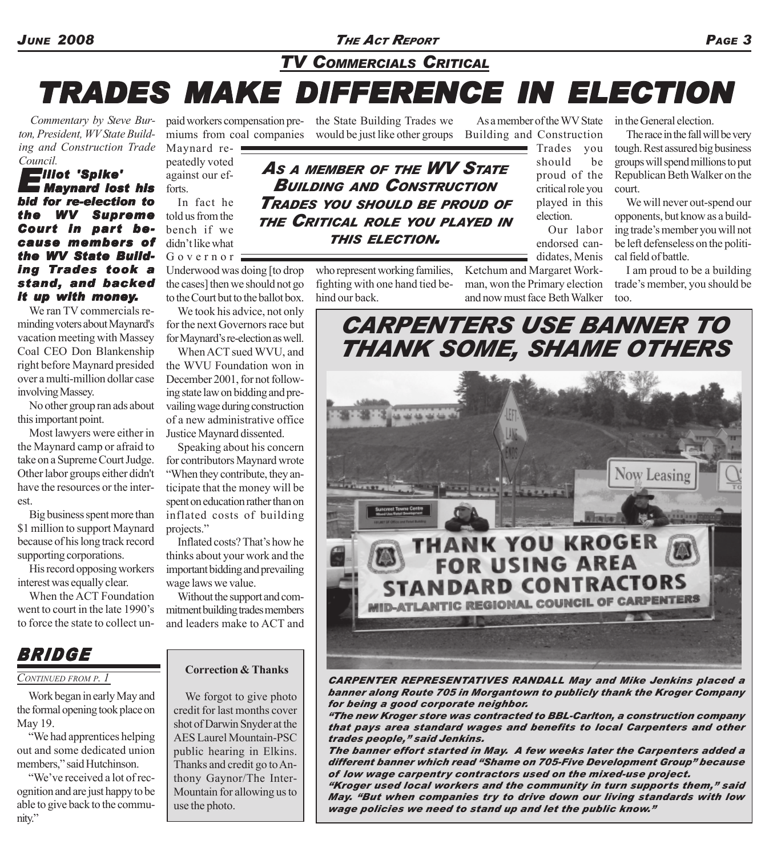*JUNE 2008 THE ACT REPORT PAGE 3*

*TV COMMERCIALS CRITICAL*

# *TRADES MAKE DIFFERENCE IN ELECTION TRADES MAKE DIFFERENCE IN ELECTION*

*Commentary by Steve Burton, President, WV State Building and Construction Trade Council.*

#### *Elliot 'Spike' lliot Maynard lost his bid for re-election to the WV Supreme Court in part because members of the WV State Build- the Building Trades took a stand, and backed it up with money.*

We ran TV commercials reminding voters about Maynard's vacation meeting with Massey Coal CEO Don Blankenship right before Maynard presided over a multi-million dollar case involving Massey.

No other group ran ads about this important point.

Most lawyers were either in the Maynard camp or afraid to take on a Supreme Court Judge. Other labor groups either didn't have the resources or the interest.

Big business spent more than \$1 million to support Maynard because of his long track record supporting corporations.

His record opposing workers interest was equally clear.

When the ACT Foundation went to court in the late 1990's to force the state to collect un-

Maynard repeatedly voted against our efforts.

In fact he told us from the bench if we didn't like what Governor =

Underwood was doing [to drop the cases] then we should not go to the Court but to the ballot box.

We took his advice, not only for the next Governors race but for Maynard's re-election as well.

When ACT sued WVU, and the WVU Foundation won in December 2001, for not following state law on bidding and prevailing wage during construction of a new administrative office Justice Maynard dissented.

Speaking about his concern for contributors Maynard wrote "When they contribute, they anticipate that the money will be spent on education rather than on inflated costs of building projects."

Inflated costs? That's how he thinks about your work and the important bidding and prevailing wage laws we value.

Without the support and commitment building trades members and leaders make to ACT and

## *BRIDGE*

#### *CONTINUED FROM P. 1*

Work began in early May and the formal opening took place on May 19.

"We had apprentices helping out and some dedicated union members," said Hutchinson.

"We've received a lot of recognition and are just happy to be able to give back to the community."

#### **Correction & Thanks**

We forgot to give photo credit for last months cover shot of Darwin Snyder at the AES Laurel Mountain-PSC public hearing in Elkins. Thanks and credit go to Anthony Gaynor/The Inter-Mountain for allowing us to use the photo.

paid workers compensation pre-the State Building Trades we miums from coal companies would be just like other groups Building and Construction

*AS <sup>A</sup> MEMBER OF THE WV STATE BUILDING AND CONSTRUCTION TRADES YOU SHOULD BE PROUD OF THE CRITICAL ROLE YOU PLAYED IN THIS ELECTION.*

> who represent working families, fighting with one hand tied behind our back.

As a member of the WV State

Trades you should be proud of the critical role you played in this election.

Our labor endorsed candidates, Menis

Ketchum and Margaret Workman, won the Primary election and now must face Beth Walker

in the General election.

The race in the fall will be very tough. Rest assured big business groups will spend millions to put Republican Beth Walker on the court.

We will never out-spend our opponents, but know as a building trade's member you will not be left defenseless on the political field of battle.

I am proud to be a building trade's member, you should be too.

*CARPENTERS USE BANNER TO THANK SOME, SHAME OTHERS* Now Leasing **VK YOU KROGER FOR USING AREA TANDARD CONTRACTORS** 

*CARPENTER REPRESENTATIVES RANDALL May and Mike Jenkins placed a banner along Route 705 in Morgantown to publicly thank the Kroger Company for being a good corporate neighbor.*

**MID-ATLANTIC REGIONAL COUNCIL** 

*"The new Kroger store was contracted to BBL-Carlton, a construction company that pays area standard wages and benefits to local Carpenters and other trades people," said Jenkins.*

*The banner effort started in May. A few weeks later the Carpenters added a different banner which read "Shame on 705-Five Development Group" because of low wage carpentry contractors used on the mixed-use project.*

*"Kroger used local workers and the community in turn supports them," said May. "But when companies try to drive down our living standards with low wage policies we need to stand up and let the public know."*